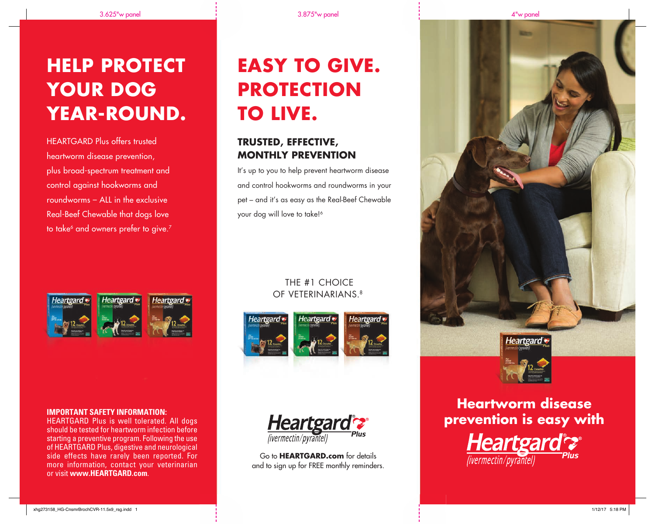# **HELP PROTECT YOUR DOG YEAR-ROUND.**

HEARTGARD Plus offers trusted heartworm disease prevention, plus broad-spectrum treatment and control against hookworms and roundworms – ALL in the exclusive Real-Beef Chewable that dogs love to take<sup>6</sup> and owners prefer to give.<sup>7</sup>



#### **IMPORTANT SAFETY INFORMATION:**

HEARTGARD Plus is well tolerated. All dogs should be tested for heartworm infection before starting a preventive program. Following the use of HEARTGARD Plus, digestive and neurological side effects have rarely been reported. For more information, contact your veterinarian or visit **www.HEARTGARD.com**.

# **EASY TO GIVE. PROTECTION TO LIVE.**

### **TRUSTED, EFFECTIVE, MONTHLY PREVENTION**

It's up to you to help prevent heartworm disease and control hookworms and roundworms in your pet – and it's as easy as the Real-Beef Chewable your dog will love to take!<sup>6</sup>

#### THE #1 CHOICE OF VETERINARIANS. 8





Go to **HEARTGARD.com** for details and to sign up for FREE monthly reminders.





### **Heartworm disease prevention is easy with**

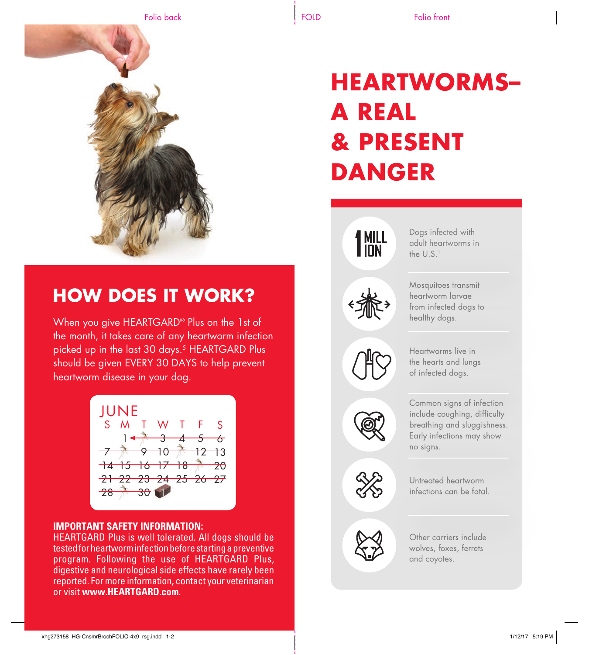

### **HOW DOES IT WORK?**

When you give HEARTGARD® Plus on the 1st of the month, it takes care of any heartworm infection picked up in the last 30 days.<sup>5</sup> HEARTGARD Plus should be given EVERY 30 DAYS to help prevent heartworm disease in your dog.



#### **IMPORTANT SAFETY INFORMATION:**

HEARTGARD Plus is well tolerated. All dogs should be tested for heartworm infection before starting a preventive program. Following the use of HEARTGARD Plus, digestive and neurological side effects have rarely been reported. For more information, contact your veterinarian or visit **www.HEARTGARD.com**.

## **HEARTWORMS– A REAL & PRESENT DANGER**

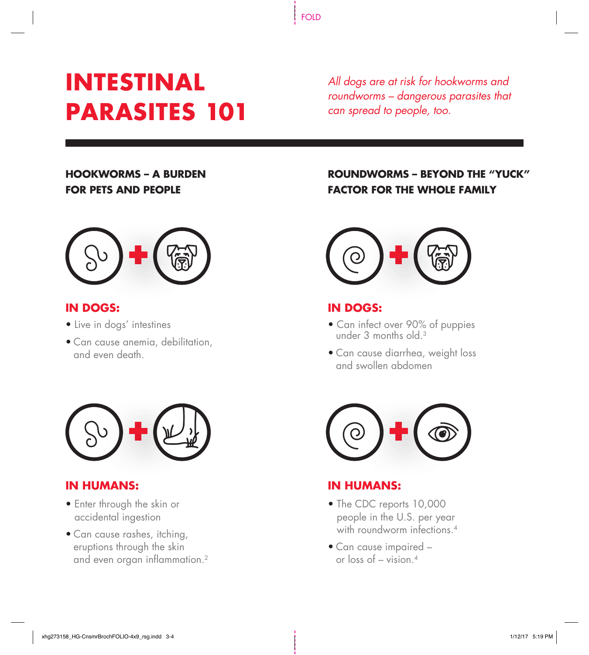## **INTESTINAL PARASITES 101**

*All dogs are at risk for hookworms and roundworms – dangerous parasites that can spread to people, too.* 

### **HOOKWORMS – A BURDEN FOR PETS AND PEOPLE**



#### **IN DOGS:**

- Live in dogs' intestines
- Can cause anemia, debilitation, and even death.



#### **IN HUMANS:**

- Enter through the skin or accidental ingestion
- Can cause rashes, itching, eruptions through the skin and even organ inflammation.<sup>2</sup>

### **ROUNDWORMS – BEYOND THE "YUCK" FACTOR FOR THE WHOLE FAMILY**



#### **IN DOGS:**

- Can infect over 90% of puppies under 3 months old.<sup>3</sup>
- Can cause diarrhea, weight loss and swollen abdomen



#### **IN HUMANS:**

- The CDC reports 10,000 people in the U.S. per year with roundworm infections 4
- Can cause impaired or loss of  $-$  vision  $4$